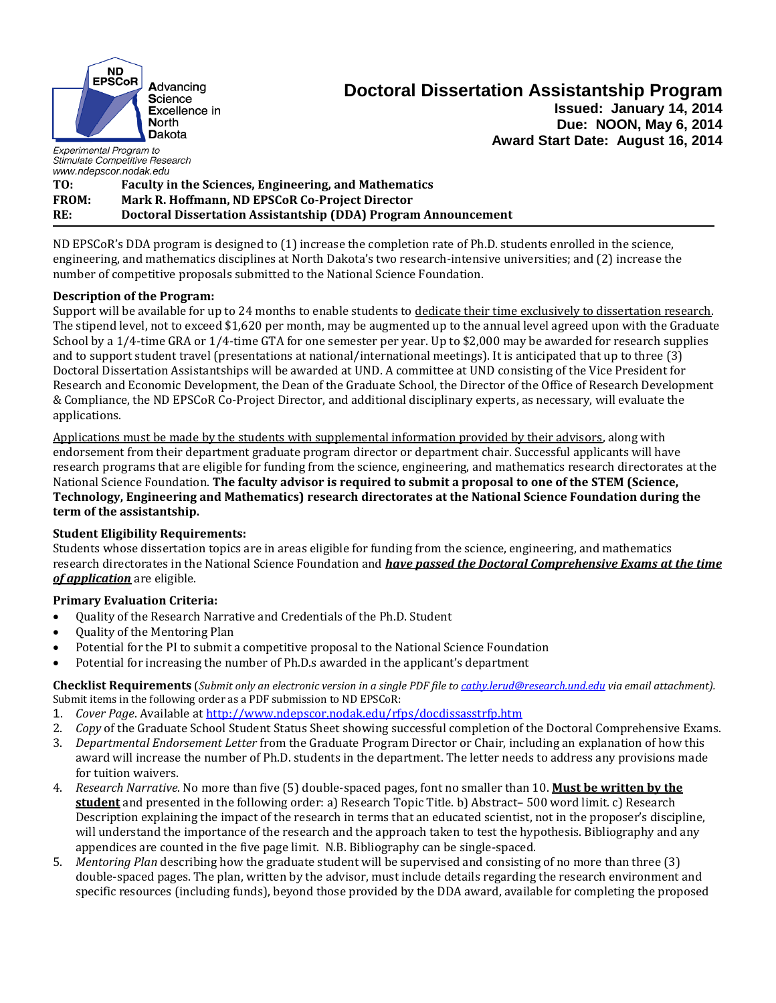

# **Doctoral Dissertation Assistantship Program Issued: January 14, 2014**

**Due: NOON, May 6, 2014 Award Start Date: August 16, 2014**

Experimental Program to Stimulate Competitive Research *www.ndepscor.nodak.edu*

**TO: Faculty in the Sciences, Engineering, and Mathematics FROM: Mark R. Hoffmann, ND EPSCoR Co-Project Director RE: Doctoral Dissertation Assistantship (DDA) Program Announcement**

ND EPSCoR's DDA program is designed to (1) increase the completion rate of Ph.D. students enrolled in the science, engineering, and mathematics disciplines at North Dakota's two research-intensive universities; and (2) increase the number of competitive proposals submitted to the National Science Foundation.

### **Description of the Program:**

Support will be available for up to 24 months to enable students to dedicate their time exclusively to dissertation research. The stipend level, not to exceed \$1,620 per month, may be augmented up to the annual level agreed upon with the Graduate School by a 1/4-time GRA or 1/4-time GTA for one semester per year. Up to \$2,000 may be awarded for research supplies and to support student travel (presentations at national/international meetings). It is anticipated that up to three (3) Doctoral Dissertation Assistantships will be awarded at UND. A committee at UND consisting of the Vice President for Research and Economic Development, the Dean of the Graduate School, the Director of the Office of Research Development & Compliance, the ND EPSCoR Co-Project Director, and additional disciplinary experts, as necessary, will evaluate the applications.

Applications must be made by the students with supplemental information provided by their advisors, along with endorsement from their department graduate program director or department chair. Successful applicants will have research programs that are eligible for funding from the science, engineering, and mathematics research directorates at the National Science Foundation. **The faculty advisor is required to submit a proposal to one of the STEM (Science, Technology, Engineering and Mathematics) research directorates at the National Science Foundation during the term of the assistantship.**

## **Student Eligibility Requirements:**

Students whose dissertation topics are in areas eligible for funding from the science, engineering, and mathematics research directorates in the National Science Foundation and *have passed the Doctoral Comprehensive Exams at the time of application* are eligible.

### **Primary Evaluation Criteria:**

- Quality of the Research Narrative and Credentials of the Ph.D. Student
- Ouality of the Mentoring Plan
- Potential for the PI to submit a competitive proposal to the National Science Foundation
- Potential for increasing the number of Ph.D.s awarded in the applicant's department

**Checklist Requirements** (*Submit only an electronic version in a single PDF file to [cathy.lerud@research.und.edu](mailto:cathy.lerud@research.und.edu) via email attachment).*  Submit items in the following order as a PDF submission to ND EPSCoR:

- 1. *Cover Page*. Available at<http://www.ndepscor.nodak.edu/rfps/docdissasstrfp.htm>
- 2. *Copy* of the Graduate School Student Status Sheet showing successful completion of the Doctoral Comprehensive Exams.
- 3. *Departmental Endorsement Letter* from the Graduate Program Director or Chair, including an explanation of how this award will increase the number of Ph.D. students in the department. The letter needs to address any provisions made for tuition waivers.
- 4. *Research Narrative*. No more than five (5) double-spaced pages, font no smaller than 10. **Must be written by the student** and presented in the following order: a) Research Topic Title. b) Abstract– 500 word limit. c) Research Description explaining the impact of the research in terms that an educated scientist, not in the proposer's discipline, will understand the importance of the research and the approach taken to test the hypothesis. Bibliography and any appendices are counted in the five page limit. N.B. Bibliography can be single-spaced.
- 5. *Mentoring Plan* describing how the graduate student will be supervised and consisting of no more than three (3) double-spaced pages. The plan, written by the advisor, must include details regarding the research environment and specific resources (including funds), beyond those provided by the DDA award, available for completing the proposed